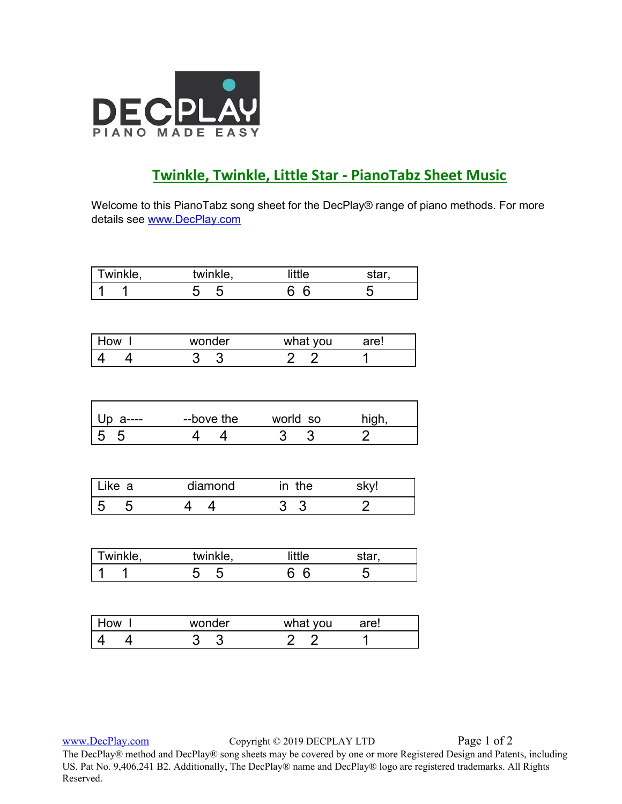

## **Twinkle, Twinkle, Little Star - PianoTabz Sheet Music**

Welcome to this PianoTabz song sheet for the DecPlay® range of piano methods. For more details see [www.DecPlay.com](http://www.decplay.com/)

| Twinkle,     | twinkle,   | little         | star,          |
|--------------|------------|----------------|----------------|
|              | 5<br>5     | -6<br>6        | 5              |
|              |            |                |                |
|              |            |                |                |
| How I        | wonder     | what you       | are!           |
|              | 3<br>3     | 2 <sub>2</sub> | 1              |
|              |            |                |                |
|              |            |                |                |
| Up a-<br>--- | --bove the | world so       | high,          |
| 5<br>5       |            | 3<br>3         | $\overline{2}$ |
|              |            |                |                |

| ∟ке а | diamond | ın | .ne |  |
|-------|---------|----|-----|--|
|       |         |    |     |  |

| Twinkle, | twinkle, | little | star |
|----------|----------|--------|------|
|          |          |        |      |

| How | wonder | what you | are! |  |
|-----|--------|----------|------|--|
|     |        |          |      |  |

[www.DecPlay.com](http://www.decplay.com/) Copyright © 2019 DECPLAY LTD Page 1 of 2

The DecPlay® method and DecPlay® song sheets may be covered by one or more Registered Design and Patents, including US. Pat No. 9,406,241 B2. Additionally, The DecPlay® name and DecPlay® logo are registered trademarks. All Rights Reserved.